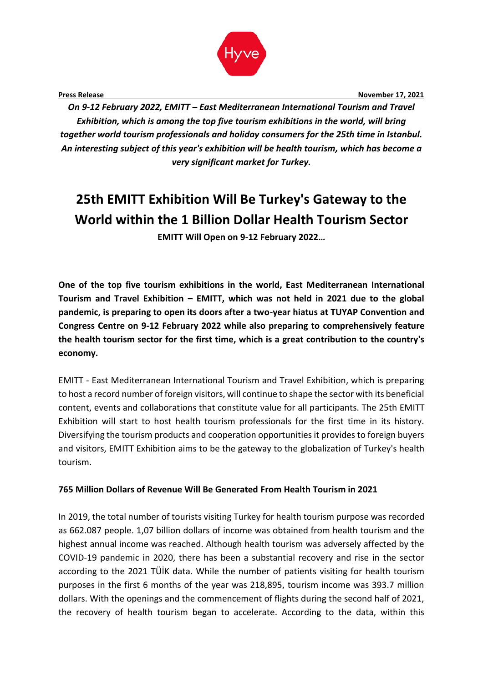

**Press Release November 17, 2021 November 17, 2021** 

*On 9-12 February 2022, EMITT – East Mediterranean International Tourism and Travel Exhibition, which is among the top five tourism exhibitions in the world, will bring together world tourism professionals and holiday consumers for the 25th time in Istanbul. An interesting subject of this year's exhibition will be health tourism, which has become a very significant market for Turkey.* 

# **25th EMITT Exhibition Will Be Turkey's Gateway to the World within the 1 Billion Dollar Health Tourism Sector EMITT Will Open on 9-12 February 2022…**

**One of the top five tourism exhibitions in the world, East Mediterranean International Tourism and Travel Exhibition – EMITT, which was not held in 2021 due to the global pandemic, is preparing to open its doors after a two-year hiatus at TUYAP Convention and Congress Centre on 9-12 February 2022 while also preparing to comprehensively feature the health tourism sector for the first time, which is a great contribution to the country's economy.**

EMITT - East Mediterranean International Tourism and Travel Exhibition, which is preparing to host a record number of foreign visitors, will continue to shape the sector with its beneficial content, events and collaborations that constitute value for all participants. The 25th EMITT Exhibition will start to host health tourism professionals for the first time in its history. Diversifying the tourism products and cooperation opportunities it provides to foreign buyers and visitors, EMITT Exhibition aims to be the gateway to the globalization of Turkey's health tourism.

## **765 Million Dollars of Revenue Will Be Generated From Health Tourism in 2021**

In 2019, the total number of tourists visiting Turkey for health tourism purpose was recorded as 662.087 people. 1,07 billion dollars of income was obtained from health tourism and the highest annual income was reached. Although health tourism was adversely affected by the COVID-19 pandemic in 2020, there has been a substantial recovery and rise in the sector according to the 2021 TÜİK data. While the number of patients visiting for health tourism purposes in the first 6 months of the year was 218,895, tourism income was 393.7 million dollars. With the openings and the commencement of flights during the second half of 2021, the recovery of health tourism began to accelerate. According to the data, within this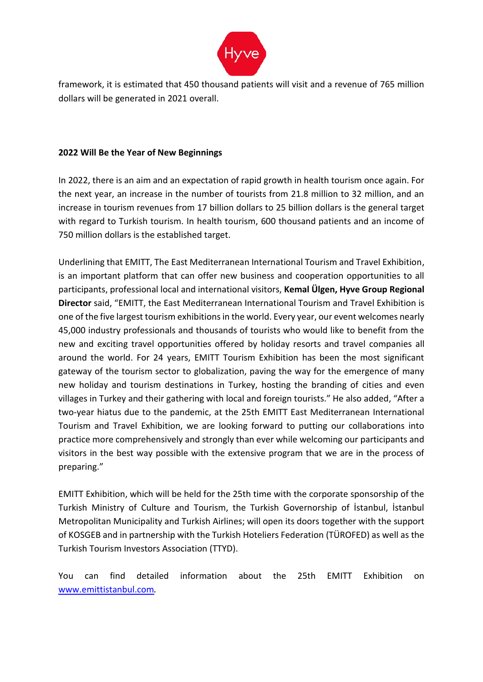

framework, it is estimated that 450 thousand patients will visit and a revenue of 765 million dollars will be generated in 2021 overall.

## **2022 Will Be the Year of New Beginnings**

In 2022, there is an aim and an expectation of rapid growth in health tourism once again. For the next year, an increase in the number of tourists from 21.8 million to 32 million, and an increase in tourism revenues from 17 billion dollars to 25 billion dollars is the general target with regard to Turkish tourism. In health tourism, 600 thousand patients and an income of 750 million dollars is the established target.

Underlining that EMITT, The East Mediterranean International Tourism and Travel Exhibition, is an important platform that can offer new business and cooperation opportunities to all participants, professional local and international visitors, **Kemal Ülgen, Hyve Group Regional Director** said, "EMITT, the East Mediterranean International Tourism and Travel Exhibition is one of the five largest tourism exhibitions in the world. Every year, our event welcomes nearly 45,000 industry professionals and thousands of tourists who would like to benefit from the new and exciting travel opportunities offered by holiday resorts and travel companies all around the world. For 24 years, EMITT Tourism Exhibition has been the most significant gateway of the tourism sector to globalization, paving the way for the emergence of many new holiday and tourism destinations in Turkey, hosting the branding of cities and even villages in Turkey and their gathering with local and foreign tourists." He also added, "After a two-year hiatus due to the pandemic, at the 25th EMITT East Mediterranean International Tourism and Travel Exhibition, we are looking forward to putting our collaborations into practice more comprehensively and strongly than ever while welcoming our participants and visitors in the best way possible with the extensive program that we are in the process of preparing."

EMITT Exhibition, which will be held for the 25th time with the corporate sponsorship of the Turkish Ministry of Culture and Tourism, the Turkish Governorship of İstanbul, İstanbul Metropolitan Municipality and Turkish Airlines; will open its doors together with the support of KOSGEB and in partnership with the Turkish Hoteliers Federation (TÜROFED) as well as the Turkish Tourism Investors Association (TTYD).

You can find detailed information about the 25th EMITT Exhibition on [www.emittistanbul.com](about:blank).